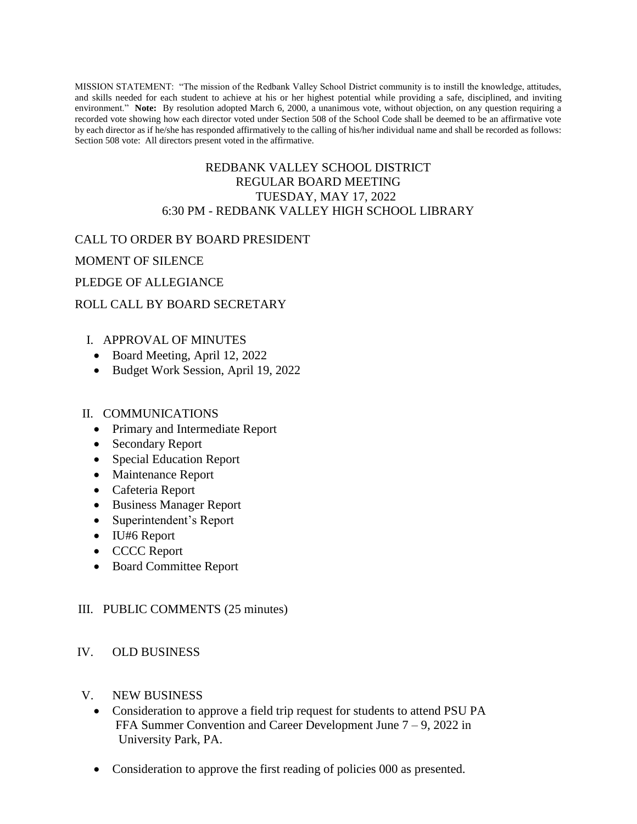MISSION STATEMENT: "The mission of the Redbank Valley School District community is to instill the knowledge, attitudes, and skills needed for each student to achieve at his or her highest potential while providing a safe, disciplined, and inviting environment." **Note:** By resolution adopted March 6, 2000, a unanimous vote, without objection, on any question requiring a recorded vote showing how each director voted under Section 508 of the School Code shall be deemed to be an affirmative vote by each director as if he/she has responded affirmatively to the calling of his/her individual name and shall be recorded as follows: Section 508 vote: All directors present voted in the affirmative.

## REDBANK VALLEY SCHOOL DISTRICT REGULAR BOARD MEETING TUESDAY, MAY 17, 2022 6:30 PM - REDBANK VALLEY HIGH SCHOOL LIBRARY

### CALL TO ORDER BY BOARD PRESIDENT

MOMENT OF SILENCE

### PLEDGE OF ALLEGIANCE

## ROLL CALL BY BOARD SECRETARY

## I. APPROVAL OF MINUTES

- Board Meeting, April 12, 2022
- Budget Work Session, April 19, 2022

#### II. COMMUNICATIONS

- Primary and Intermediate Report
- Secondary Report
- Special Education Report
- Maintenance Report
- Cafeteria Report
- Business Manager Report
- Superintendent's Report
- IU#6 Report
- CCCC Report
- Board Committee Report

#### III. PUBLIC COMMENTS (25 minutes)

#### IV. OLD BUSINESS

- V. NEW BUSINESS
	- Consideration to approve a field trip request for students to attend PSU PA FFA Summer Convention and Career Development June 7 – 9, 2022 in University Park, PA.
	- Consideration to approve the first reading of policies 000 as presented.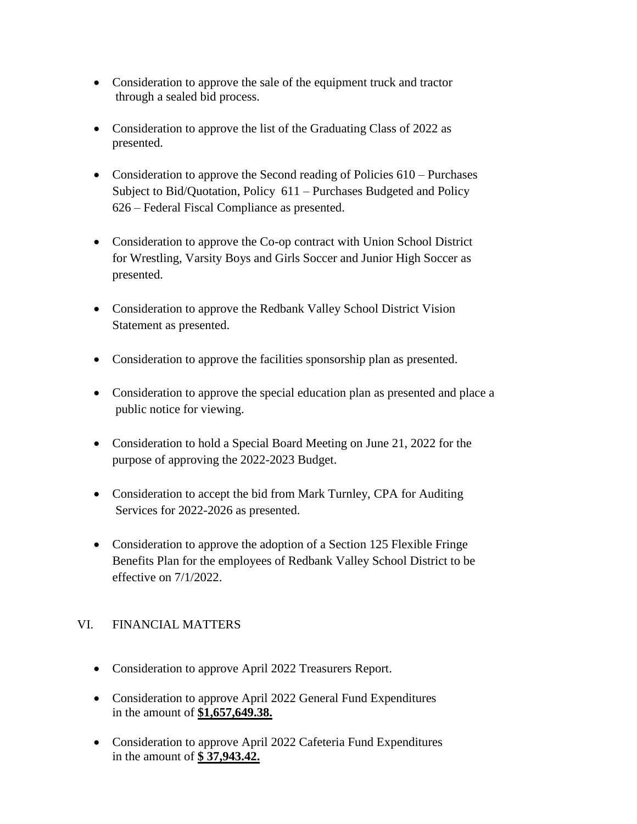- Consideration to approve the sale of the equipment truck and tractor through a sealed bid process.
- Consideration to approve the list of the Graduating Class of 2022 as presented.
- Consideration to approve the Second reading of Policies 610 Purchases Subject to Bid/Quotation, Policy 611 – Purchases Budgeted and Policy 626 – Federal Fiscal Compliance as presented.
- Consideration to approve the Co-op contract with Union School District for Wrestling, Varsity Boys and Girls Soccer and Junior High Soccer as presented.
- Consideration to approve the Redbank Valley School District Vision Statement as presented.
- Consideration to approve the facilities sponsorship plan as presented.
- Consideration to approve the special education plan as presented and place a public notice for viewing.
- Consideration to hold a Special Board Meeting on June 21, 2022 for the purpose of approving the 2022-2023 Budget.
- Consideration to accept the bid from Mark Turnley, CPA for Auditing Services for 2022-2026 as presented.
- Consideration to approve the adoption of a Section 125 Flexible Fringe Benefits Plan for the employees of Redbank Valley School District to be effective on 7/1/2022.

## VI. FINANCIAL MATTERS

- Consideration to approve April 2022 Treasurers Report.
- Consideration to approve April 2022 General Fund Expenditures in the amount of **\$1,657,649.38.**
- Consideration to approve April 2022 Cafeteria Fund Expenditures in the amount of **\$ 37,943.42.**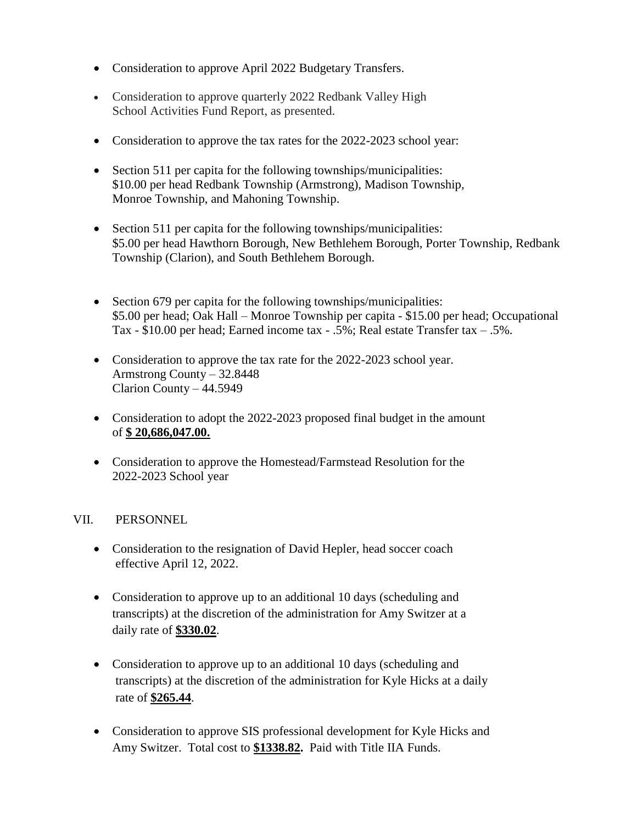- Consideration to approve April 2022 Budgetary Transfers.
- Consideration to approve quarterly 2022 Redbank Valley High School Activities Fund Report, as presented.
- Consideration to approve the tax rates for the 2022-2023 school year:
- Section 511 per capita for the following townships/municipalities: \$10.00 per head Redbank Township (Armstrong), Madison Township, Monroe Township, and Mahoning Township.
- Section 511 per capita for the following townships/municipalities: \$5.00 per head Hawthorn Borough, New Bethlehem Borough, Porter Township, Redbank Township (Clarion), and South Bethlehem Borough.
- Section 679 per capita for the following townships/municipalities: \$5.00 per head; Oak Hall – Monroe Township per capita - \$15.00 per head; Occupational Tax - \$10.00 per head; Earned income tax - .5%; Real estate Transfer tax – .5%.
- Consideration to approve the tax rate for the 2022-2023 school year. Armstrong County – 32.8448 Clarion County – 44.5949
- Consideration to adopt the 2022-2023 proposed final budget in the amount of **\$ 20,686,047.00.**
- Consideration to approve the Homestead/Farmstead Resolution for the 2022-2023 School year

## VII. PERSONNEL

- Consideration to the resignation of David Hepler, head soccer coach effective April 12, 2022.
- Consideration to approve up to an additional 10 days (scheduling and transcripts) at the discretion of the administration for Amy Switzer at a daily rate of **\$330.02**.
- Consideration to approve up to an additional 10 days (scheduling and transcripts) at the discretion of the administration for Kyle Hicks at a daily rate of **\$265.44**.
- Consideration to approve SIS professional development for Kyle Hicks and Amy Switzer. Total cost to **\$1338.82.** Paid with Title IIA Funds.